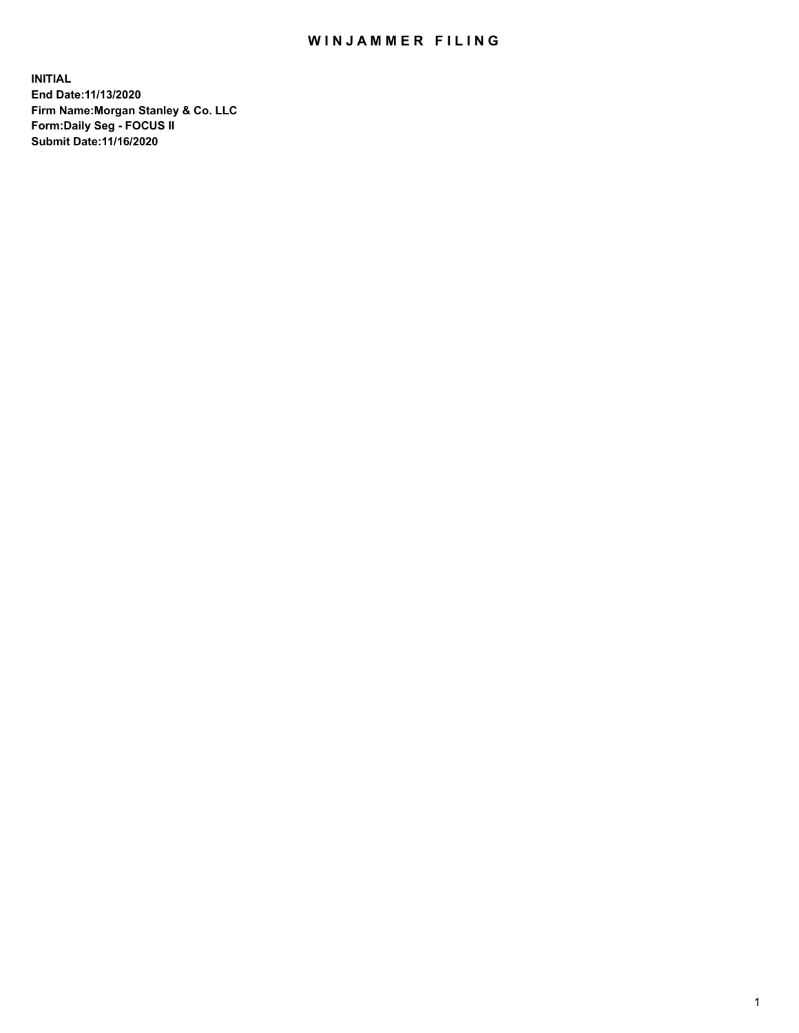## WIN JAMMER FILING

**INITIAL End Date:11/13/2020 Firm Name:Morgan Stanley & Co. LLC Form:Daily Seg - FOCUS II Submit Date:11/16/2020**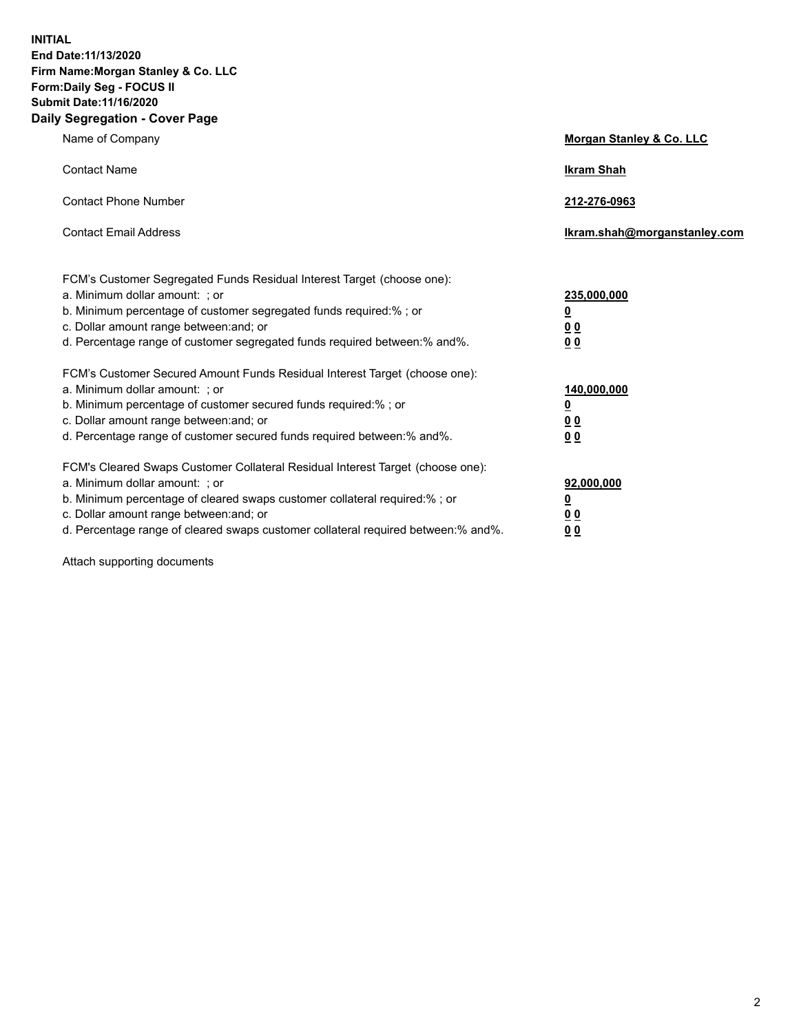**INITIAL End Date:11/13/2020 Firm Name:Morgan Stanley & Co. LLC Form:Daily Seg - FOCUS II Submit Date:11/16/2020 Daily Segregation - Cover Page**

| Name of Company                                                                                                                                                                                                                                                                                                                | <b>Morgan Stanley &amp; Co. LLC</b>                    |
|--------------------------------------------------------------------------------------------------------------------------------------------------------------------------------------------------------------------------------------------------------------------------------------------------------------------------------|--------------------------------------------------------|
| <b>Contact Name</b>                                                                                                                                                                                                                                                                                                            | <b>Ikram Shah</b>                                      |
| <b>Contact Phone Number</b>                                                                                                                                                                                                                                                                                                    | 212-276-0963                                           |
| <b>Contact Email Address</b>                                                                                                                                                                                                                                                                                                   | Ikram.shah@morganstanley.com                           |
| FCM's Customer Segregated Funds Residual Interest Target (choose one):<br>a. Minimum dollar amount: ; or<br>b. Minimum percentage of customer segregated funds required:% ; or<br>c. Dollar amount range between: and; or<br>d. Percentage range of customer segregated funds required between:% and%.                         | 235,000,000<br><u>0</u><br>0 Q<br>0 Q                  |
| FCM's Customer Secured Amount Funds Residual Interest Target (choose one):<br>a. Minimum dollar amount: ; or<br>b. Minimum percentage of customer secured funds required:% ; or<br>c. Dollar amount range between: and; or<br>d. Percentage range of customer secured funds required between: % and %.                         | 140,000,000<br><u>0</u><br><u>00</u><br>0 <sub>0</sub> |
| FCM's Cleared Swaps Customer Collateral Residual Interest Target (choose one):<br>a. Minimum dollar amount: ; or<br>b. Minimum percentage of cleared swaps customer collateral required:% ; or<br>c. Dollar amount range between: and; or<br>d. Percentage range of cleared swaps customer collateral required between:% and%. | 92,000,000<br><u>0</u><br>0 Q<br>00                    |

Attach supporting documents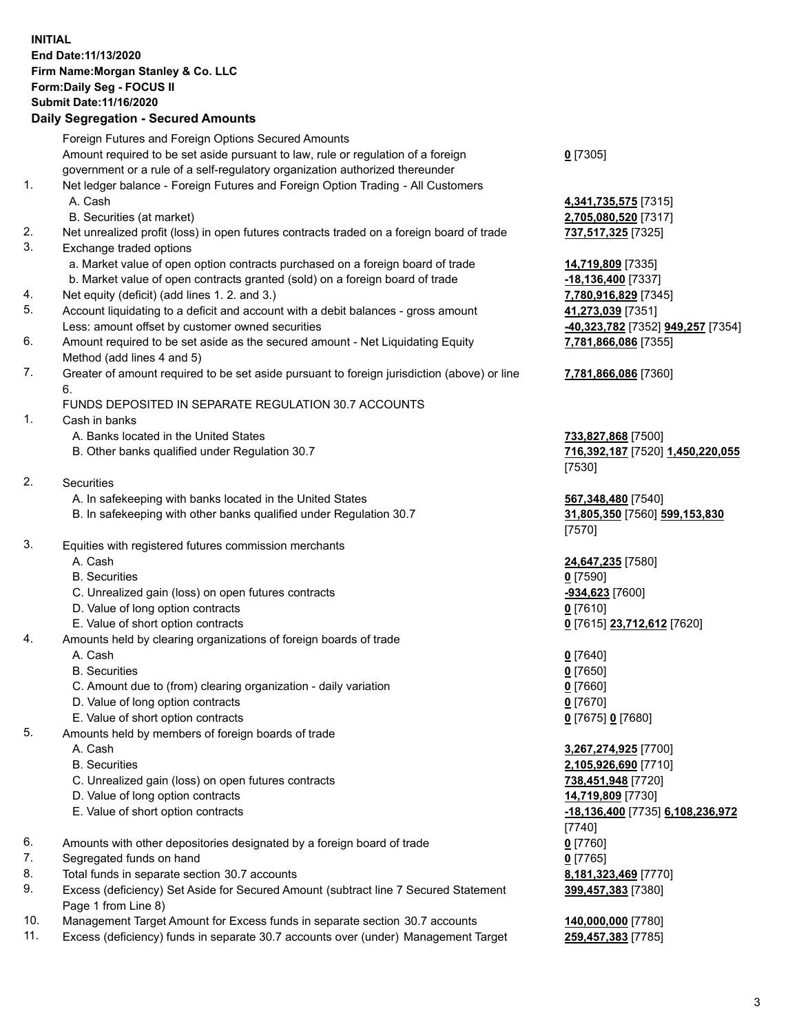## **INITIAL End Date:11/13/2020 Firm Name:Morgan Stanley & Co. LLC Form:Daily Seg - FOCUS II Submit Date:11/16/2020**

## **Daily Segregation - Secured Amounts**

Foreign Futures and Foreign Options Secured Amounts Amount required to be set aside pursuant to law, rule or regulation of a foreign government or a rule of a self-regulatory organization authorized thereunder 1. Net ledger balance - Foreign Futures and Foreign Option Trading - All Customers A. Cash **4,341,735,575** [7315] B. Securities (at market) **2,705,080,520** [7317] 2. Net unrealized profit (loss) in open futures contracts traded on a foreign board of trade **737,517,325** [7325] 3. Exchange traded options a. Market value of open option contracts purchased on a foreign board of trade **14,719,809** [7335] b. Market value of open contracts granted (sold) on a foreign board of trade **-18,136,400** [7337] 4. Net equity (deficit) (add lines 1. 2. and 3.) **7,780,916,829** [7345] 5. Account liquidating to a deficit and account with a debit balances - gross amount **41,273,039** [7351] Less: amount offset by customer owned securities **-40,323,782** [7352] **949,257** [7354] 6. Amount required to be set aside as the secured amount - Net Liquidating Equity Method (add lines 4 and 5) 7. Greater of amount required to be set aside pursuant to foreign jurisdiction (above) or line 6. FUNDS DEPOSITED IN SEPARATE REGULATION 30.7 ACCOUNTS 1. Cash in banks A. Banks located in the United States **733,827,868** [7500] B. Other banks qualified under Regulation 30.7 **716,392,187** [7520] **1,450,220,055** 2. Securities A. In safekeeping with banks located in the United States **567,348,480** [7540] B. In safekeeping with other banks qualified under Regulation 30.7 **31,805,350** [7560] **599,153,830** 3. Equities with registered futures commission merchants A. Cash **24,647,235** [7580] B. Securities **0** [7590] C. Unrealized gain (loss) on open futures contracts **-934,623** [7600] D. Value of long option contracts **0** [7610] E. Value of short option contracts **0** [7615] **23,712,612** [7620] 4. Amounts held by clearing organizations of foreign boards of trade A. Cash **0** [7640] B. Securities **0** [7650] C. Amount due to (from) clearing organization - daily variation **0** [7660] D. Value of long option contracts **0** [7670] E. Value of short option contracts **0** [7675] **0** [7680] 5. Amounts held by members of foreign boards of trade A. Cash **3,267,274,925** [7700] B. Securities **2,105,926,690** [7710] C. Unrealized gain (loss) on open futures contracts **738,451,948** [7720] D. Value of long option contracts **14,719,809** [7730] E. Value of short option contracts **-18,136,400** [7735] **6,108,236,972** 6. Amounts with other depositories designated by a foreign board of trade **0** [7760] 7. Segregated funds on hand **0** [7765] 8. Total funds in separate section 30.7 accounts **8,181,323,469** [7770] 9. Excess (deficiency) Set Aside for Secured Amount (subtract line 7 Secured Statement Page 1 from Line 8)

- 10. Management Target Amount for Excess funds in separate section 30.7 accounts **140,000,000** [7780]
- 11. Excess (deficiency) funds in separate 30.7 accounts over (under) Management Target **259,457,383** [7785]

**0** [7305]

**7,781,866,086** [7355]

## **7,781,866,086** [7360]

[7530]

[7570]

[7740] **399,457,383** [7380]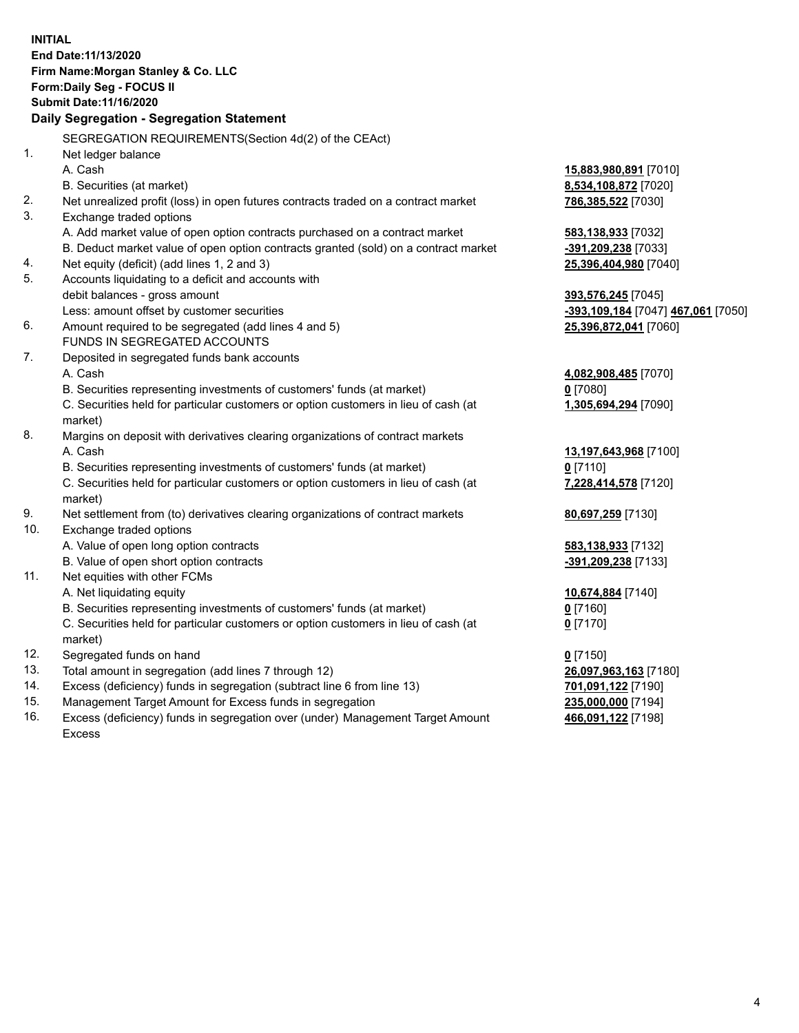|     | <b>INITIAL</b><br>End Date: 11/13/2020<br>Firm Name: Morgan Stanley & Co. LLC<br>Form: Daily Seg - FOCUS II |                                    |
|-----|-------------------------------------------------------------------------------------------------------------|------------------------------------|
|     | Submit Date: 11/16/2020                                                                                     |                                    |
|     | Daily Segregation - Segregation Statement                                                                   |                                    |
|     | SEGREGATION REQUIREMENTS(Section 4d(2) of the CEAct)                                                        |                                    |
| 1.  | Net ledger balance                                                                                          |                                    |
|     | A. Cash                                                                                                     | 15,883,980,891 [7010]              |
|     | B. Securities (at market)                                                                                   | 8,534,108,872 [7020]               |
| 2.  | Net unrealized profit (loss) in open futures contracts traded on a contract market                          | 786,385,522 [7030]                 |
| 3.  | Exchange traded options                                                                                     |                                    |
|     | A. Add market value of open option contracts purchased on a contract market                                 | 583,138,933 [7032]                 |
|     | B. Deduct market value of open option contracts granted (sold) on a contract market                         | -391,209,238 [7033]                |
| 4.  | Net equity (deficit) (add lines 1, 2 and 3)                                                                 | 25,396,404,980 [7040]              |
| 5.  | Accounts liquidating to a deficit and accounts with                                                         |                                    |
|     | debit balances - gross amount                                                                               | 393,576,245 [7045]                 |
|     | Less: amount offset by customer securities                                                                  | -393,109,184 [7047] 467,061 [7050] |
| 6.  | Amount required to be segregated (add lines 4 and 5)                                                        | 25,396,872,041 [7060]              |
|     | FUNDS IN SEGREGATED ACCOUNTS                                                                                |                                    |
| 7.  | Deposited in segregated funds bank accounts                                                                 |                                    |
|     | A. Cash                                                                                                     | 4,082,908,485 [7070]               |
|     | B. Securities representing investments of customers' funds (at market)                                      | $0$ [7080]                         |
|     | C. Securities held for particular customers or option customers in lieu of cash (at                         | 1,305,694,294 [7090]               |
|     | market)                                                                                                     |                                    |
| 8.  | Margins on deposit with derivatives clearing organizations of contract markets                              |                                    |
|     | A. Cash                                                                                                     | 13,197,643,968 [7100]              |
|     | B. Securities representing investments of customers' funds (at market)                                      | $0$ [7110]                         |
|     | C. Securities held for particular customers or option customers in lieu of cash (at<br>market)              | 7,228,414,578 [7120]               |
| 9.  | Net settlement from (to) derivatives clearing organizations of contract markets                             | 80,697,259 [7130]                  |
| 10. | Exchange traded options                                                                                     |                                    |
|     | A. Value of open long option contracts                                                                      | 583,138,933 [7132]                 |
|     | B. Value of open short option contracts                                                                     | -391,209,238 [7133]                |
| 11. | Net equities with other FCMs                                                                                |                                    |
|     | A. Net liquidating equity                                                                                   | 10,674,884 [7140]                  |
|     | B. Securities representing investments of customers' funds (at market)                                      | $0$ [7160]                         |
|     | C. Securities held for particular customers or option customers in lieu of cash (at<br>market)              | 0 <sup>[7170]</sup>                |
| 12. | Segregated funds on hand                                                                                    | $0$ [7150]                         |
| 13. | Total amount in segregation (add lines 7 through 12)                                                        | 26,097,963,163 [7180]              |
| 14. | Excess (deficiency) funds in segregation (subtract line 6 from line 13)                                     | 701,091,122 [7190]                 |
| 15. | Management Target Amount for Excess funds in segregation                                                    | 235,000,000 [7194]                 |
| 16. | Excess (deficiency) funds in segregation over (under) Management Target Amount                              | 466,091,122 [7198]                 |

16. Excess (deficiency) funds in segregation over (under) Management Target Amount Excess